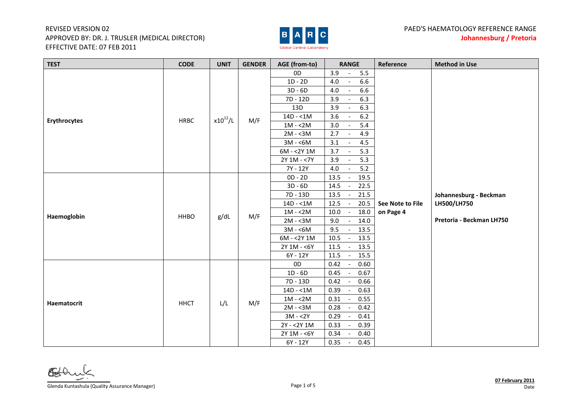## REVISED VERSION 02 APPROVED BY: DR. J. TRUSLER (MEDICAL DIRECTOR) EFFECTIVE DATE: 07 FEB 2011



| <b>TEST</b>         | <b>CODE</b> | <b>UNIT</b>  | <b>GENDER</b> | AGE (from-to)  | <b>RANGE</b>                                                                                 | Reference        | <b>Method in Use</b>     |
|---------------------|-------------|--------------|---------------|----------------|----------------------------------------------------------------------------------------------|------------------|--------------------------|
|                     |             |              |               | 0 <sub>D</sub> | 3.9<br>5.5<br>$\overline{\phantom{a}}$                                                       |                  |                          |
|                     |             |              |               | $1D - 2D$      | 6.6<br>4.0<br>$\overline{\phantom{a}}$                                                       |                  |                          |
|                     |             |              |               | $3D - 6D$      | 6.6<br>$4.0\,$<br>$\overline{\phantom{a}}$                                                   |                  |                          |
|                     |             |              |               | 7D - 12D       | 6.3<br>3.9<br>$\overline{\phantom{a}}$                                                       |                  |                          |
|                     | <b>HRBC</b> | $x10^{12}/L$ | M/F           | 13D            | 6.3<br>3.9<br>$\overline{\phantom{a}}$                                                       |                  |                          |
|                     |             |              |               | $14D - 1M$     | 3.6<br>$6.2$<br>$\overline{\phantom{a}}$                                                     |                  |                          |
| <b>Erythrocytes</b> |             |              |               | $1M - 2M$      | 5.4<br>3.0<br>$\overline{\phantom{a}}$                                                       |                  |                          |
|                     |             |              |               | $2M - 3M$      | 2.7<br>4.9<br>$\sim$                                                                         |                  |                          |
|                     |             |              |               | $3M - 6M$      | 4.5<br>3.1<br>$\overline{\phantom{a}}$                                                       |                  |                          |
|                     |             |              |               | $6M - 2Y1M$    | 5.3<br>3.7                                                                                   |                  |                          |
|                     |             |              |               | 2Y 1M - <7Y    | 3.9<br>5.3                                                                                   |                  |                          |
|                     |             |              |               | 7Y - 12Y       | 5.2<br>4.0                                                                                   |                  |                          |
|                     |             |              |               | $OD - 2D$      | 13.5<br>19.5<br>$\overline{\phantom{a}}$                                                     |                  |                          |
|                     |             |              |               | $3D - 6D$      | 14.5<br>22.5<br>$\overline{\phantom{a}}$                                                     |                  |                          |
|                     | <b>HHBO</b> | g/dL         | M/F           | 7D - 13D       | 13.5<br>21.5                                                                                 |                  | Johannesburg - Beckman   |
|                     |             |              |               | $14D - 1M$     | 12.5<br>20.5<br>$\overline{\phantom{a}}$                                                     | See Note to File | LH500/LH750              |
| Haemoglobin         |             |              |               | $1M - 2M$      | 18.0<br>10.0<br>$\sim$                                                                       | on Page 4        |                          |
|                     |             |              |               | $2M - 3M$      | 9.0<br>14.0<br>$\blacksquare$                                                                |                  | Pretoria - Beckman LH750 |
|                     |             |              |               | $3M - 6M$      | 9.5<br>13.5<br>$\overline{\phantom{a}}$                                                      |                  |                          |
|                     |             |              |               | $6M - 2Y1M$    | 10.5<br>13.5<br>$\overline{\phantom{a}}$                                                     |                  |                          |
|                     |             |              |               | 2Y 1M - <6Y    | $\sim$                                                                                       |                  |                          |
|                     |             |              |               | $6Y - 12Y$     | $\overline{\phantom{a}}$                                                                     |                  |                          |
|                     |             |              |               | 0 <sub>D</sub> | $\overline{\phantom{a}}$                                                                     |                  |                          |
|                     |             |              |               | $1D - 6D$      | $\overline{\phantom{a}}$                                                                     |                  |                          |
|                     |             |              |               | 7D - 13D       |                                                                                              |                  |                          |
|                     |             |              |               | $14D - 1M$     | 13.5<br>11.5<br>11.5<br>15.5<br>0.42<br>0.60<br>0.67<br>0.45<br>0.42<br>0.66<br>0.39<br>0.63 |                  |                          |
| Haematocrit         | <b>HHCT</b> | L/L          | M/F           | $1M - 2M$      | 0.55<br>0.31                                                                                 |                  |                          |
|                     |             |              |               | $2M - 3M$      | 0.42<br>0.28<br>$\sim$                                                                       |                  |                          |
|                     |             |              |               | $3M - 2Y$      | 0.41<br>0.29<br>$\overline{\phantom{a}}$                                                     |                  |                          |
|                     |             |              |               | 2Y - < 2Y 1M   | 0.33<br>0.39<br>$\overline{\phantom{a}}$                                                     |                  |                          |
|                     |             |              |               | 2Y 1M - <6Y    | 0.34<br>0.40                                                                                 |                  |                          |
|                     |             |              |               | 6Y - 12Y       | 0.45<br>0.35<br>$\sim$                                                                       |                  |                          |

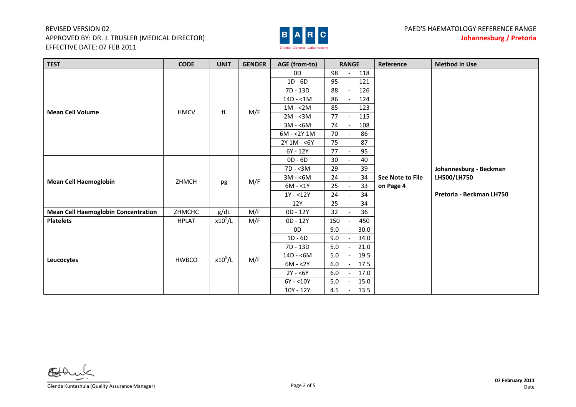## REVISED VERSION 02 APPROVED BY: DR. J. TRUSLER (MEDICAL DIRECTOR) EFFECTIVE DATE: 07 FEB 2011



| <b>TEST</b>                                | <b>CODE</b>  | <b>UNIT</b> | <b>GENDER</b> | AGE (from-to) | <b>RANGE</b>                            | Reference        | <b>Method in Use</b>     |
|--------------------------------------------|--------------|-------------|---------------|---------------|-----------------------------------------|------------------|--------------------------|
|                                            |              |             |               | 0D            | 98<br>118<br>$\overline{\phantom{a}}$   |                  |                          |
|                                            |              |             |               | $1D - 6D$     | 95<br>121                               |                  |                          |
|                                            |              |             |               | 7D - 13D      | 88<br>126<br>$\overline{\phantom{a}}$   |                  |                          |
|                                            |              |             |               | $14D - 1M$    | 86<br>124                               |                  |                          |
| <b>Mean Cell Volume</b>                    | <b>HMCV</b>  | fL          | M/F           | $1M - 2M$     | 85<br>123<br>$\overline{\phantom{a}}$   |                  |                          |
|                                            |              |             |               | $2M - 3M$     | 77<br>115<br>$\overline{\phantom{a}}$   |                  |                          |
|                                            |              |             |               | $3M - 6M$     | 74<br>108                               |                  |                          |
|                                            |              |             |               | $6M - 2Y1M$   | 86<br>70                                |                  |                          |
|                                            |              |             |               | 2Y 1M - <6Y   | 75<br>87<br>$\sim$                      |                  |                          |
|                                            |              |             |               | 6Y - 12Y      | 95<br>77                                |                  |                          |
|                                            |              |             |               | $OD - 6D$     | 40<br>30<br>$\overline{a}$              |                  |                          |
|                                            |              |             |               | $7D - 3M$     | 29<br>39                                |                  | Johannesburg - Beckman   |
| <b>Mean Cell Haemoglobin</b>               | ZHMCH        |             | M/F           | $3M - 6M$     | 24<br>34<br>$\overline{\phantom{a}}$    | See Note to File | LH500/LH750              |
|                                            |              | pg          |               | $6M - 1Y$     | 25<br>33<br>$\overline{\phantom{a}}$    | on Page 4        |                          |
|                                            |              |             |               | $1Y - 12Y$    | 34<br>24                                |                  | Pretoria - Beckman LH750 |
|                                            |              |             |               | 12Y           | 25<br>34<br>$\sim$                      |                  |                          |
| <b>Mean Cell Haemoglobin Concentration</b> | ZHMCHC       | g/dL        | M/F           | 0D - 12Y      | 32<br>36<br>$\sim$                      |                  |                          |
| <b>Platelets</b>                           | <b>HPLAT</b> | $x10^9$ /L  | M/F           | 0D - 12Y      | 450<br>150                              |                  |                          |
|                                            |              |             |               | OD            | 9.0<br>30.0                             |                  |                          |
|                                            |              |             |               | $1D - 6D$     | 34.0<br>9.0                             |                  |                          |
|                                            |              |             |               | 7D - 13D      | 5.0<br>21.0                             |                  |                          |
| Leucocytes                                 | <b>HWBCO</b> | $x10^9$ /L  | M/F           | $14D - 6M$    | 19.5<br>5.0                             |                  |                          |
|                                            |              |             |               | $6M - 2Y$     | 17.5<br>6.0                             |                  |                          |
|                                            |              |             |               | $2Y - 6Y$     | $6.0\,$<br>17.0                         |                  |                          |
|                                            |              |             |               | $6Y - 10Y$    | 15.0<br>5.0<br>$\overline{\phantom{a}}$ |                  |                          |
|                                            |              |             |               | 10Y - 12Y     | 13.5<br>4.5                             |                  |                          |

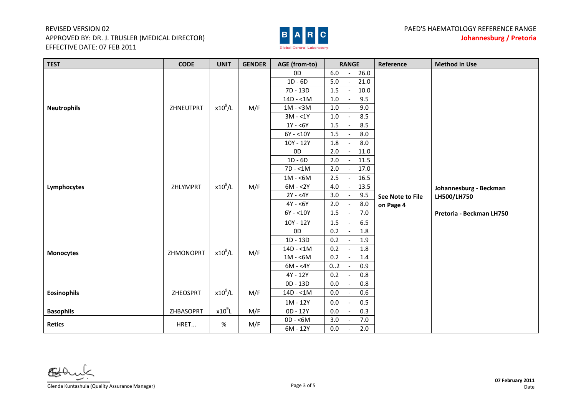## REVISED VERSION 02 APPROVED BY: DR. J. TRUSLER (MEDICAL DIRECTOR) EFFECTIVE DATE: 07 FEB 2011



| <b>TEST</b>        | <b>CODE</b> | <b>UNIT</b> | <b>GENDER</b> | AGE (from-to)  | <b>RANGE</b>                                   | Reference        | <b>Method in Use</b>     |
|--------------------|-------------|-------------|---------------|----------------|------------------------------------------------|------------------|--------------------------|
|                    |             |             |               | 0D             | 6.0<br>26.0<br>$\overline{\phantom{a}}$        |                  |                          |
|                    |             |             |               | $1D - 6D$      | 5.0<br>21.0<br>$\overline{\phantom{a}}$        |                  |                          |
|                    |             |             |               | 7D - 13D       | 10.0<br>1.5<br>$\sim$                          |                  |                          |
|                    |             |             |               | $14D - 1M$     | 1.0<br>9.5<br>$\overline{\phantom{a}}$         |                  |                          |
| <b>Neutrophils</b> | ZHNEUTPRT   | $x10^9$ /L  | M/F           | $1M - 3M$      | 1.0<br>9.0<br>$\sim$                           |                  |                          |
|                    |             |             |               | $3M - 1Y$      | $1.0\,$<br>8.5<br>$\overline{\phantom{a}}$     |                  |                          |
|                    |             |             |               | $1Y - 6Y$      | 8.5<br>1.5<br>$\overline{\phantom{a}}$         |                  |                          |
|                    |             |             |               | $6Y - 10Y$     | 1.5<br>8.0<br>$\overline{\phantom{a}}$         |                  |                          |
|                    |             |             |               | 10Y - 12Y      | 8.0<br>1.8                                     |                  |                          |
|                    |             |             |               | 0 <sub>D</sub> | 2.0<br>11.0<br>$\overline{\phantom{a}}$        |                  |                          |
|                    |             |             |               | $1D - 6D$      | 11.5<br>2.0<br>$\overline{\phantom{a}}$        |                  |                          |
|                    |             |             |               | $7D - 1M$      | 2.0<br>17.0<br>$\overline{a}$                  |                  |                          |
|                    |             |             |               | $1M - 6M$      | 2.5<br>16.5<br>$\overline{\phantom{a}}$        |                  |                          |
| Lymphocytes        | ZHLYMPRT    | $x10^9$ /L  | M/F           | $6M - 2Y$      | $4.0\,$<br>13.5<br>$\overline{\phantom{a}}$    |                  | Johannesburg - Beckman   |
|                    |             |             |               | $2Y - 4Y$      | 3.0<br>9.5<br>$\overline{\phantom{a}}$         | See Note to File | LH500/LH750              |
|                    |             |             |               | $4Y - 6Y$      | $2.0$<br>$8.0\,$<br>$\overline{\phantom{a}}$   | on Page 4        |                          |
|                    |             |             |               | $6Y - 10Y$     | $7.0\,$<br>1.5<br>$\overline{\phantom{a}}$     |                  | Pretoria - Beckman LH750 |
|                    |             |             |               | 10Y - 12Y      | 1.5<br>6.5<br>$\overline{\phantom{a}}$         |                  |                          |
|                    |             |             |               | 0D             | 0.2<br>1.8<br>$\overline{\phantom{a}}$         |                  |                          |
|                    |             |             |               | $1D - 13D$     | 1.9<br>0.2<br>$\overline{a}$                   |                  |                          |
| <b>Monocytes</b>   | ZHMONOPRT   | $x10^9$ /L  | M/F           | $14D - 1M$     | 0.2<br>1.8<br>$\blacksquare$                   |                  |                          |
|                    |             |             |               | $1M - 6M$      | 0.2<br>1.4<br>$\overline{a}$                   |                  |                          |
|                    |             |             |               | $6M - 4Y$      | 0.9<br>02<br>$\overline{\phantom{a}}$          |                  |                          |
|                    |             |             |               | 4Y - 12Y       | $0.8\,$<br>$0.2\,$<br>$\overline{\phantom{a}}$ |                  |                          |
|                    |             |             |               | 0D - 13D       | $0.8\,$<br>$0.0\,$                             |                  |                          |
| <b>Eosinophils</b> | ZHEOSPRT    | $x10^9$ /L  | M/F           | $14D - 1M$     | 0.6<br>$0.0\,$<br>$\overline{\phantom{a}}$     |                  |                          |
|                    |             |             |               | 1M - 12Y       | 0.5<br>$0.0\,$                                 |                  |                          |
| <b>Basophils</b>   | ZHBASOPRT   | $x10^{9}L$  | M/F           | 0D - 12Y       | 0.3<br>$0.0\,$<br>$\mathbb{L}$                 |                  |                          |
| <b>Retics</b>      | HRET        | %           | M/F           | $OD - 6M$      | $7.0\,$<br>3.0<br>$\overline{\phantom{a}}$     |                  |                          |
|                    |             |             |               | 6M - 12Y       | 2.0<br>0.0<br>$\blacksquare$                   |                  |                          |

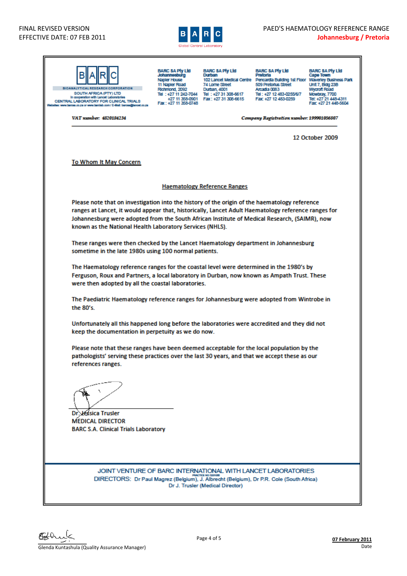

| <b>ISSEARCH CORPORATION</b><br>SOUTH AFRICA (PTY) LTD<br>In cooperation with Lancet Laboratories<br>CENTRAL LABORATORY FOR CLINICAL TRIALS<br>a: www.barcea.co.za or www.barclab.com / E-Mail: barcea@ianost.co.za                                              | <b>BARC SA Pty Ltd</b><br>Johannesburg<br>Napler House<br>11 Napler Road<br>Richmond, 2092<br>Fax: +27 11 358-0748                                                                                                                           | <b>BARC SA Pty Ltd</b><br>Durban<br>74 Lome Street<br>Durban, 4001<br>Tel: +27 11 242-7044 Tel: +27 31 308-6617<br>+27 11 358-0901   Fax: +27 31 308-6615 | <b>BARC SA Pty Ltd</b><br>Pretorta<br>102 Lancet Medical Centre Pencardia Building 1st Floor Waverley Business Park<br>509 Pretorius Street<br>Arcadia 0083<br>Tel: +27 12 483-0255/6/7<br>Fax: +27 12 483-0259 | <b>BARC SA Pty Ltd</b><br>Cape Town<br><b>Unit 7, Bidg 23B</b><br><b>Wycroft Road</b><br>Mowbray, 7700<br>Tel: +27 21 448-4311<br>Fax: +27 21 448-5604 |  |  |  |  |  |  |
|-----------------------------------------------------------------------------------------------------------------------------------------------------------------------------------------------------------------------------------------------------------------|----------------------------------------------------------------------------------------------------------------------------------------------------------------------------------------------------------------------------------------------|-----------------------------------------------------------------------------------------------------------------------------------------------------------|-----------------------------------------------------------------------------------------------------------------------------------------------------------------------------------------------------------------|--------------------------------------------------------------------------------------------------------------------------------------------------------|--|--|--|--|--|--|
| VAT momber: 4820184234                                                                                                                                                                                                                                          |                                                                                                                                                                                                                                              |                                                                                                                                                           | Company Registration number: 199901056807                                                                                                                                                                       |                                                                                                                                                        |  |  |  |  |  |  |
|                                                                                                                                                                                                                                                                 |                                                                                                                                                                                                                                              |                                                                                                                                                           |                                                                                                                                                                                                                 | <b>12 October 2009</b>                                                                                                                                 |  |  |  |  |  |  |
| <b>To Whom It May Concern</b>                                                                                                                                                                                                                                   |                                                                                                                                                                                                                                              |                                                                                                                                                           |                                                                                                                                                                                                                 |                                                                                                                                                        |  |  |  |  |  |  |
|                                                                                                                                                                                                                                                                 |                                                                                                                                                                                                                                              | <b>Haematology Reference Ranges</b>                                                                                                                       |                                                                                                                                                                                                                 |                                                                                                                                                        |  |  |  |  |  |  |
| Please note that on investigation into the history of the origin of the haematology reference                                                                                                                                                                   |                                                                                                                                                                                                                                              |                                                                                                                                                           |                                                                                                                                                                                                                 |                                                                                                                                                        |  |  |  |  |  |  |
| ranges at Lancet, it would appear that, historically, Lancet Adult Haematology reference ranges for<br>Johannesburg were adopted from the South African Institute of Medical Research, (SAIMR), now<br>known as the National Health Laboratory Services (NHLS). |                                                                                                                                                                                                                                              |                                                                                                                                                           |                                                                                                                                                                                                                 |                                                                                                                                                        |  |  |  |  |  |  |
|                                                                                                                                                                                                                                                                 | These ranges were then checked by the Lancet Haematology department in Johannesburg<br>sometime in the late 1980s using 100 normal patients.                                                                                                 |                                                                                                                                                           |                                                                                                                                                                                                                 |                                                                                                                                                        |  |  |  |  |  |  |
|                                                                                                                                                                                                                                                                 |                                                                                                                                                                                                                                              |                                                                                                                                                           |                                                                                                                                                                                                                 |                                                                                                                                                        |  |  |  |  |  |  |
|                                                                                                                                                                                                                                                                 | The Haematology reference ranges for the coastal level were determined in the 1980's by<br>Ferguson, Roux and Partners, a local laboratory in Durban, now known as Ampath Trust. These<br>were then adopted by all the coastal laboratories. |                                                                                                                                                           |                                                                                                                                                                                                                 |                                                                                                                                                        |  |  |  |  |  |  |
| The Paediatric Haematology reference ranges for Johannesburg were adopted from Wintrobe in<br>the 80's.                                                                                                                                                         |                                                                                                                                                                                                                                              |                                                                                                                                                           |                                                                                                                                                                                                                 |                                                                                                                                                        |  |  |  |  |  |  |
|                                                                                                                                                                                                                                                                 | Unfortunately all this happened long before the laboratories were accredited and they did not<br>keep the documentation in perpetuity as we do now.                                                                                          |                                                                                                                                                           |                                                                                                                                                                                                                 |                                                                                                                                                        |  |  |  |  |  |  |
| references ranges.                                                                                                                                                                                                                                              | Please note that these ranges have been deemed acceptable for the local population by the<br>pathologists' serving these practices over the last 30 years, and that we accept these as our                                                   |                                                                                                                                                           |                                                                                                                                                                                                                 |                                                                                                                                                        |  |  |  |  |  |  |
| <b>Dr. Jessica Trusler</b><br><b>MEDICAL DIRECTOR</b><br><b>BARC S.A. Clinical Trials Laboratory</b>                                                                                                                                                            |                                                                                                                                                                                                                                              |                                                                                                                                                           |                                                                                                                                                                                                                 |                                                                                                                                                        |  |  |  |  |  |  |
| JOINT VENTURE OF BARC INTERNATIONAL WITH LANCET LABORATORIES<br>DIRECTORS: Dr Paul Magrez (Belgium), J. Albrecht (Belgium), Dr P.R. Cole (South Africa)                                                                                                         |                                                                                                                                                                                                                                              | Dr J. Trusler (Medical Director)                                                                                                                          |                                                                                                                                                                                                                 |                                                                                                                                                        |  |  |  |  |  |  |